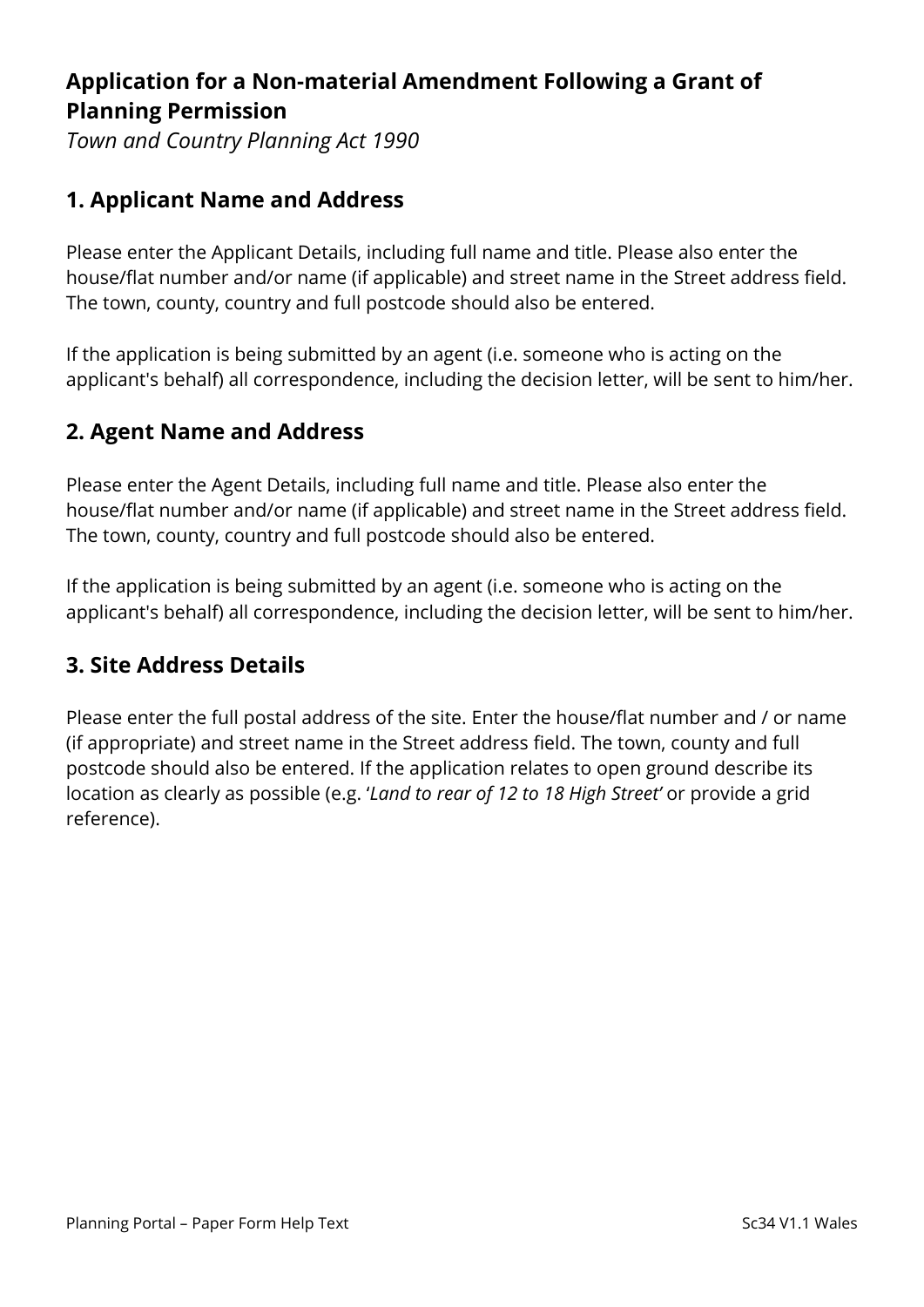# **Application for a Non-material Amendment Following a Grant of Planning Permission**

*Town and Country Planning Act 1990* 

## **1. Applicant Name and Address**

Please enter the Applicant Details, including full name and title. Please also enter the house/flat number and/or name (if applicable) and street name in the Street address field. The town, county, country and full postcode should also be entered.

If the application is being submitted by an agent (i.e. someone who is acting on the applicant's behalf) all correspondence, including the decision letter, will be sent to him/her.

## **2. Agent Name and Address**

Please enter the Agent Details, including full name and title. Please also enter the house/flat number and/or name (if applicable) and street name in the Street address field. The town, county, country and full postcode should also be entered.

If the application is being submitted by an agent (i.e. someone who is acting on the applicant's behalf) all correspondence, including the decision letter, will be sent to him/her.

## **3. Site Address Details**

Please enter the full postal address of the site. Enter the house/flat number and / or name (if appropriate) and street name in the Street address field. The town, county and full postcode should also be entered. If the application relates to open ground describe its location as clearly as possible (e.g. '*Land to rear of 12 to 18 High Street'* or provide a grid reference).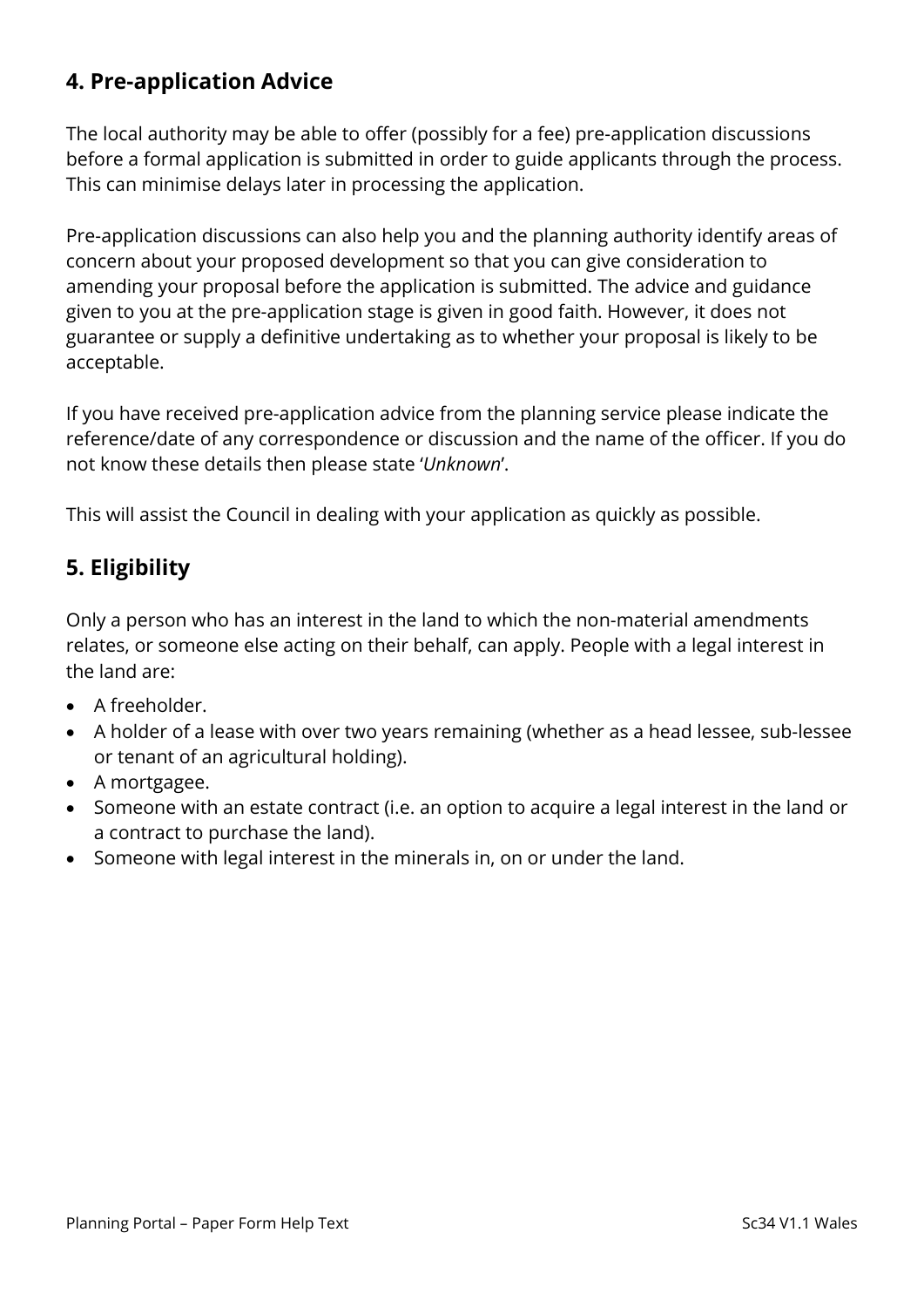## **4. Pre-application Advice**

The local authority may be able to offer (possibly for a fee) pre-application discussions before a formal application is submitted in order to guide applicants through the process. This can minimise delays later in processing the application.

Pre-application discussions can also help you and the planning authority identify areas of concern about your proposed development so that you can give consideration to amending your proposal before the application is submitted. The advice and guidance given to you at the pre-application stage is given in good faith. However, it does not guarantee or supply a definitive undertaking as to whether your proposal is likely to be acceptable.

If you have received pre-application advice from the planning service please indicate the reference/date of any correspondence or discussion and the name of the officer. If you do not know these details then please state '*Unknown*'.

This will assist the Council in dealing with your application as quickly as possible.

## **5. Eligibility**

Only a person who has an interest in the land to which the non-material amendments relates, or someone else acting on their behalf, can apply. People with a legal interest in the land are:

- A freeholder.
- A holder of a lease with over two years remaining (whether as a head lessee, sub-lessee or tenant of an agricultural holding).
- A mortgagee.
- Someone with an estate contract (i.e. an option to acquire a legal interest in the land or a contract to purchase the land).
- Someone with legal interest in the minerals in, on or under the land.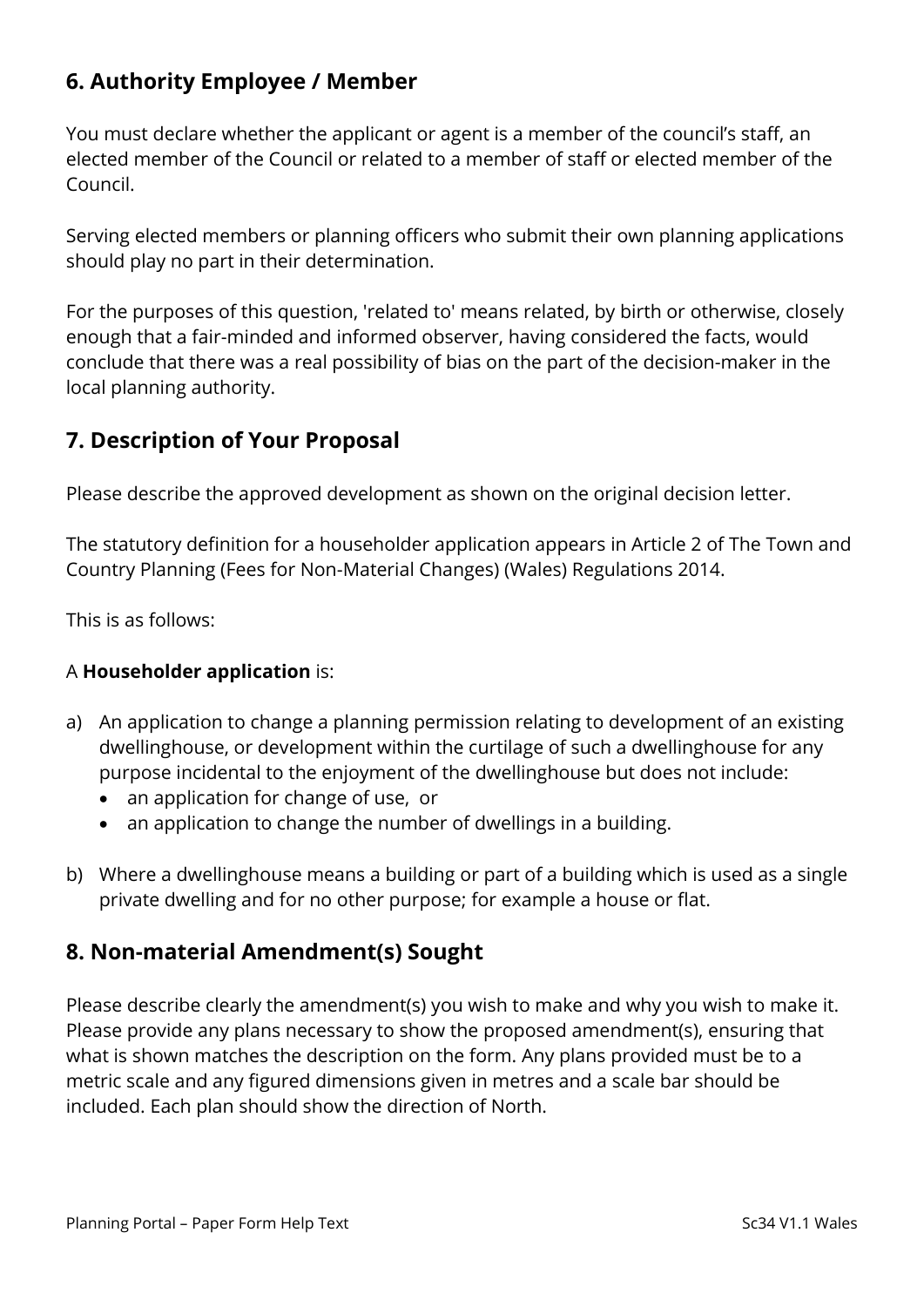## **6. Authority Employee / Member**

You must declare whether the applicant or agent is a member of the council's staff, an elected member of the Council or related to a member of staff or elected member of the Council.

Serving elected members or planning officers who submit their own planning applications should play no part in their determination.

For the purposes of this question, 'related to' means related, by birth or otherwise, closely enough that a fair-minded and informed observer, having considered the facts, would conclude that there was a real possibility of bias on the part of the decision-maker in the local planning authority.

## **7. Description of Your Proposal**

Please describe the approved development as shown on the original decision letter.

The statutory definition for a householder application appears in Article 2 of The Town and Country Planning (Fees for Non-Material Changes) (Wales) Regulations 2014.

This is as follows:

#### A **Householder application** is:

- a) An application to change a planning permission relating to development of an existing dwellinghouse, or development within the curtilage of such a dwellinghouse for any purpose incidental to the enjoyment of the dwellinghouse but does not include:
	- an application for change of use, or
	- an application to change the number of dwellings in a building.
- b) Where a dwellinghouse means a building or part of a building which is used as a single private dwelling and for no other purpose; for example a house or flat.

## **8. Non-material Amendment(s) Sought**

Please describe clearly the amendment(s) you wish to make and why you wish to make it. Please provide any plans necessary to show the proposed amendment(s), ensuring that what is shown matches the description on the form. Any plans provided must be to a metric scale and any figured dimensions given in metres and a scale bar should be included. Each plan should show the direction of North.